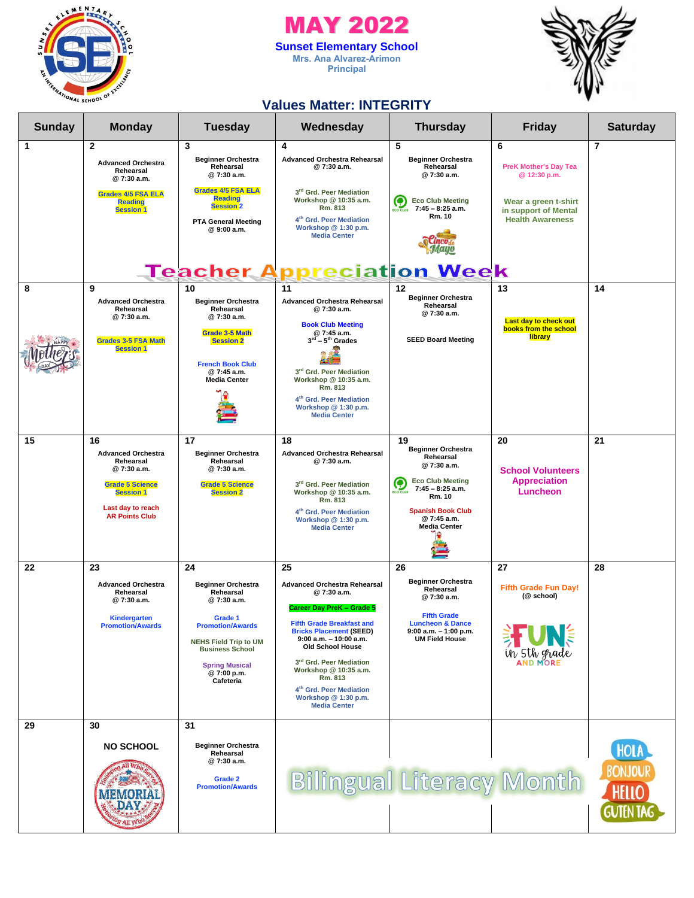

### MAY 2022 **Sunset Elementary School Mrs. Ana Alvarez-Arimon**

**Principal**



### **Values Matter: INTEGRITY**

| <b>Sunday</b> | <b>Monday</b>                                                                                                                                          | <b>Tuesday</b>                                                                                                                                                                                                 | Wednesday                                                                                                                                                                                                                                                                                                                                                               | <b>Thursday</b>                                                                                                                                                                        | <b>Friday</b>                                                           | <b>Saturday</b>                                            |
|---------------|--------------------------------------------------------------------------------------------------------------------------------------------------------|----------------------------------------------------------------------------------------------------------------------------------------------------------------------------------------------------------------|-------------------------------------------------------------------------------------------------------------------------------------------------------------------------------------------------------------------------------------------------------------------------------------------------------------------------------------------------------------------------|----------------------------------------------------------------------------------------------------------------------------------------------------------------------------------------|-------------------------------------------------------------------------|------------------------------------------------------------|
| 1             | $\mathbf{2}$<br><b>Advanced Orchestra</b><br>Rehearsal<br>@7:30 a.m.                                                                                   | 3<br><b>Beginner Orchestra</b><br>Rehearsal<br>@7:30 a.m.                                                                                                                                                      | 4<br><b>Advanced Orchestra Rehearsal</b><br>@7:30 a.m.                                                                                                                                                                                                                                                                                                                  | 5<br><b>Beginner Orchestra</b><br>Rehearsal<br>@7:30 a.m.                                                                                                                              | 6<br><b>PreK Mother's Day Tea</b><br>@ 12:30 p.m.                       | $\overline{7}$                                             |
|               | <b>Grades 4/5 FSA ELA</b><br><b>Reading</b><br><b>Session 1</b>                                                                                        | <b>Grades 4/5 FSA ELA</b><br><b>Reading</b><br><b>Session 2</b><br><b>PTA General Meeting</b><br>@ 9:00 a.m.                                                                                                   | 3rd Grd. Peer Mediation<br>Workshop @ 10:35 a.m.<br>Rm. 813<br>4 <sup>th</sup> Grd. Peer Mediation<br>Workshop @ 1:30 p.m.<br><b>Media Center</b>                                                                                                                                                                                                                       | <b>Eco Club Meeting</b><br>7:45 - 8:25 a.m.<br><b>Rm. 10</b>                                                                                                                           | Wear a green t-shirt<br>in support of Mental<br><b>Health Awareness</b> |                                                            |
|               |                                                                                                                                                        |                                                                                                                                                                                                                | <b>Teacher Appreciation Week</b>                                                                                                                                                                                                                                                                                                                                        |                                                                                                                                                                                        |                                                                         |                                                            |
| 8             | 9<br><b>Advanced Orchestra</b><br>Rehearsal<br>@7:30 a.m.<br><b>Grades 3-5 FSA Math</b><br><b>Session 1</b>                                            | 10<br><b>Beginner Orchestra</b><br>Rehearsal<br>@7:30 a.m.<br><b>Grade 3-5 Math</b><br><b>Session 2</b><br><b>French Book Club</b><br>@ 7:45 a.m.<br><b>Media Center</b>                                       | 11<br><b>Advanced Orchestra Rehearsal</b><br>@7:30 a.m.<br><b>Book Club Meeting</b><br>@ 7:45 a.m.<br>$3^{\text{rd}} - 5^{\text{th}}$ Grades<br>3rd Grd. Peer Mediation<br>Workshop @ 10:35 a.m.<br>Rm. 813<br>4 <sup>th</sup> Grd. Peer Mediation<br>Workshop @ 1:30 p.m.<br><b>Media Center</b>                                                                       | 12<br><b>Beginner Orchestra</b><br>Rehearsal<br>@7:30 a.m.<br><b>SEED Board Meeting</b>                                                                                                | 13<br>Last day to check out<br>books from the school<br>library         | 14                                                         |
| 15            | 16<br><b>Advanced Orchestra</b><br>Rehearsal<br>@7:30 a.m.<br><b>Grade 5 Science</b><br><b>Session 1</b><br>Last day to reach<br><b>AR Points Club</b> | 17<br><b>Beginner Orchestra</b><br>Rehearsal<br>@7:30 a.m.<br><b>Grade 5 Science</b><br><b>Session 2</b>                                                                                                       | 18<br><b>Advanced Orchestra Rehearsal</b><br>@7:30 a.m.<br>3rd Grd. Peer Mediation<br>Workshop @ 10:35 a.m.<br>Rm. 813<br>4 <sup>th</sup> Grd. Peer Mediation<br>Workshop @ 1:30 p.m.<br><b>Media Center</b>                                                                                                                                                            | 19<br><b>Beginner Orchestra</b><br>Rehearsal<br>@7:30 a.m.<br><b>Eco Club Meeting</b><br>$7:45 - 8:25$ a.m.<br>Rm. 10<br><b>Spanish Book Club</b><br>@7:45 a.m.<br><b>Media Center</b> | 20<br><b>School Volunteers</b><br><b>Appreciation</b><br>Luncheon       | 21                                                         |
| 22            | 23<br><b>Advanced Orchestra</b><br>Rehearsal<br>@7:30 a.m.<br><b>Kindergarten</b><br><b>Promotion/Awards</b>                                           | 24<br><b>Beginner Orchestra</b><br>Rehearsal<br>@7:30 a.m.<br>Grade 1<br><b>Promotion/Awards</b><br><b>NEHS Field Trip to UM</b><br><b>Business School</b><br><b>Spring Musical</b><br>@7:00 p.m.<br>Cafeteria | 25<br><b>Advanced Orchestra Rehearsal</b><br>@7:30 a.m.<br><b>Career Day PreK - Grade 5</b><br>Fifth Grade Breakfast and<br><b>Bricks Placement (SEED)</b><br>$9:00$ a.m. $-10:00$ a.m.<br><b>Old School House</b><br>3rd Grd. Peer Mediation<br>Workshop @ 10:35 a.m.<br>Rm. 813<br>4 <sup>th</sup> Grd. Peer Mediation<br>Workshop @ 1:30 p.m.<br><b>Media Center</b> | 26<br><b>Beginner Orchestra</b><br>Rehearsal<br>@7:30 a.m.<br><b>Fifth Grade</b><br><b>Luncheon &amp; Dance</b><br>$9:00$ a.m. $-1:00$ p.m.<br><b>UM Field House</b>                   | 27<br><b>Fifth Grade Fun Day!</b><br>(@ school)<br>in 5th grade         | 28                                                         |
| 29            | 30<br><b>NO SCHOOL</b><br><b>g All Wh</b>                                                                                                              | 31<br><b>Beginner Orchestra</b><br>Rehearsal<br>@ 7:30 a.m.<br>Grade 2<br><b>Promotion/Awards</b>                                                                                                              |                                                                                                                                                                                                                                                                                                                                                                         | <b>Bilingual Literacy Month</b>                                                                                                                                                        |                                                                         | HOLA<br><b>BONJOUR</b><br><b>HELLO</b><br><b>GUTEN TAG</b> |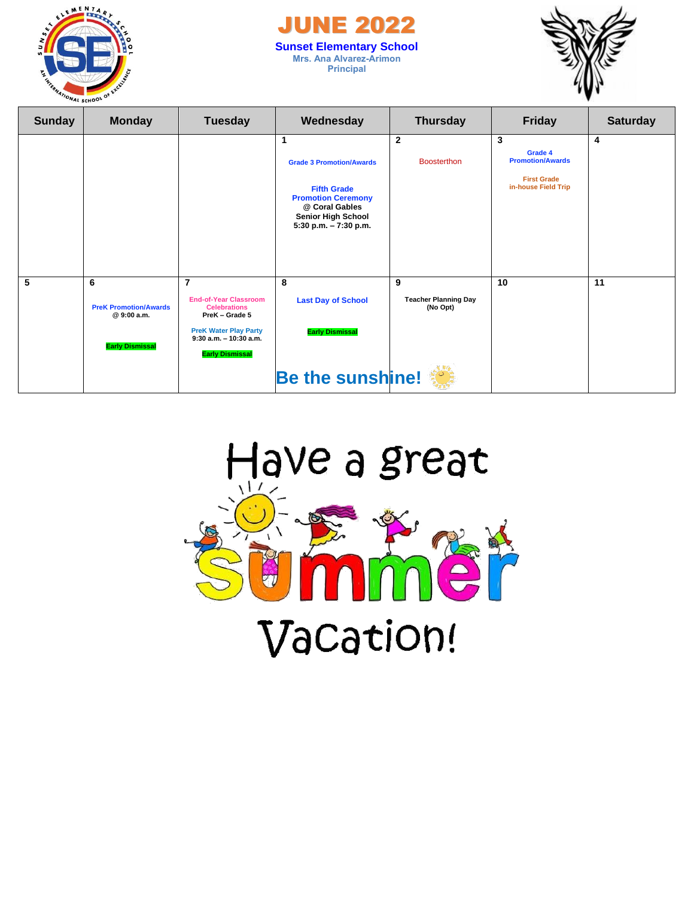

### **JUNE 20 Sunset Elementary School Mrs. Ana Alvarez-Arimon Principal**



| <b>Sunday</b> | <b>Monday</b>                                                              | <b>Tuesday</b>                                                                                                                                                                 | Wednesday                                                                                                                                                       | <b>Thursday</b>                              | <b>Friday</b>                                                                        | <b>Saturday</b> |
|---------------|----------------------------------------------------------------------------|--------------------------------------------------------------------------------------------------------------------------------------------------------------------------------|-----------------------------------------------------------------------------------------------------------------------------------------------------------------|----------------------------------------------|--------------------------------------------------------------------------------------|-----------------|
|               |                                                                            |                                                                                                                                                                                | 1<br><b>Grade 3 Promotion/Awards</b><br><b>Fifth Grade</b><br><b>Promotion Ceremony</b><br>@ Coral Gables<br><b>Senior High School</b><br>5:30 p.m. - 7:30 p.m. | $\overline{2}$<br><b>Boosterthon</b>         | 3<br>Grade 4<br><b>Promotion/Awards</b><br><b>First Grade</b><br>in-house Field Trip | 4               |
| 5             | 6<br><b>PreK Promotion/Awards</b><br>@ 9:00 a.m.<br><b>Early Dismissal</b> | $\overline{7}$<br><b>End-of-Year Classroom</b><br><b>Celebrations</b><br>PreK - Grade 5<br><b>PreK Water Play Party</b><br>$9:30$ a.m. $-10:30$ a.m.<br><b>Early Dismissal</b> | 8<br><b>Last Day of School</b><br><b>Early Dismissal</b>                                                                                                        | 9<br><b>Teacher Planning Day</b><br>(No Opt) | 10                                                                                   | 11              |
|               |                                                                            |                                                                                                                                                                                | Be the sunshine!                                                                                                                                                |                                              |                                                                                      |                 |

## Have a great

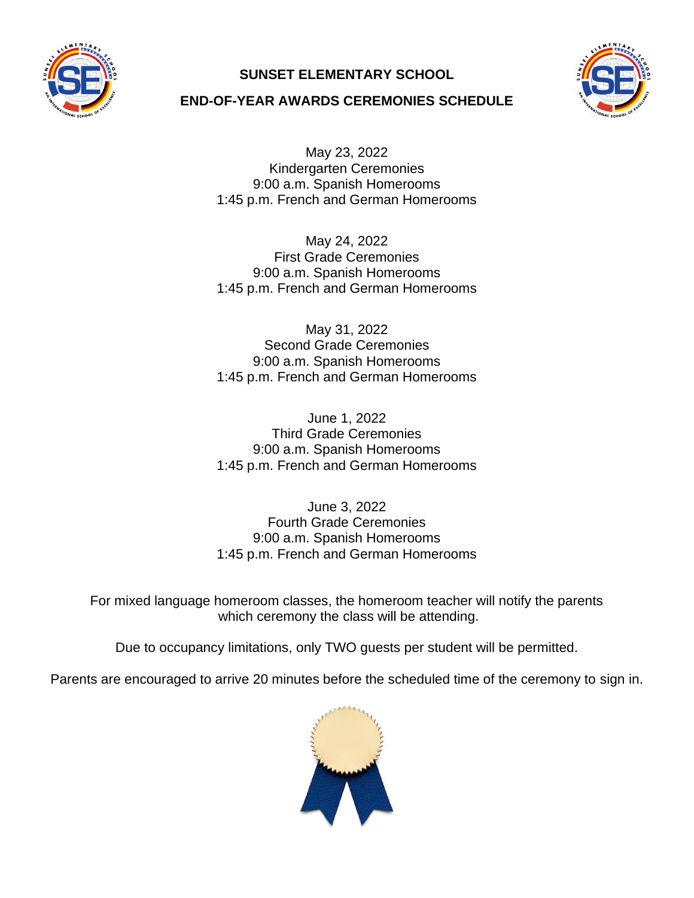

### **SUNSET ELEMENTARY SCHOOL**



### **END-OF-YEAR AWARDS CEREMONIES SCHEDULE**

May 23, 2022 Kindergarten Ceremonies 9:00 a.m. Spanish Homerooms 1:45 p.m. French and German Homerooms

May 24, 2022 First Grade Ceremonies 9:00 a.m. Spanish Homerooms 1:45 p.m. French and German Homerooms

May 31, 2022 Second Grade Ceremonies 9:00 a.m. Spanish Homerooms 1:45 p.m. French and German Homerooms

June 1, 2022 Third Grade Ceremonies 9:00 a.m. Spanish Homerooms 1:45 p.m. French and German Homerooms

June 3, 2022 Fourth Grade Ceremonies 9:00 a.m. Spanish Homerooms 1:45 p.m. French and German Homerooms

For mixed language homeroom classes, the homeroom teacher will notify the parents which ceremony the class will be attending.

Due to occupancy limitations, only TWO guests per student will be permitted.

Parents are encouraged to arrive 20 minutes before the scheduled time of the ceremony to sign in.

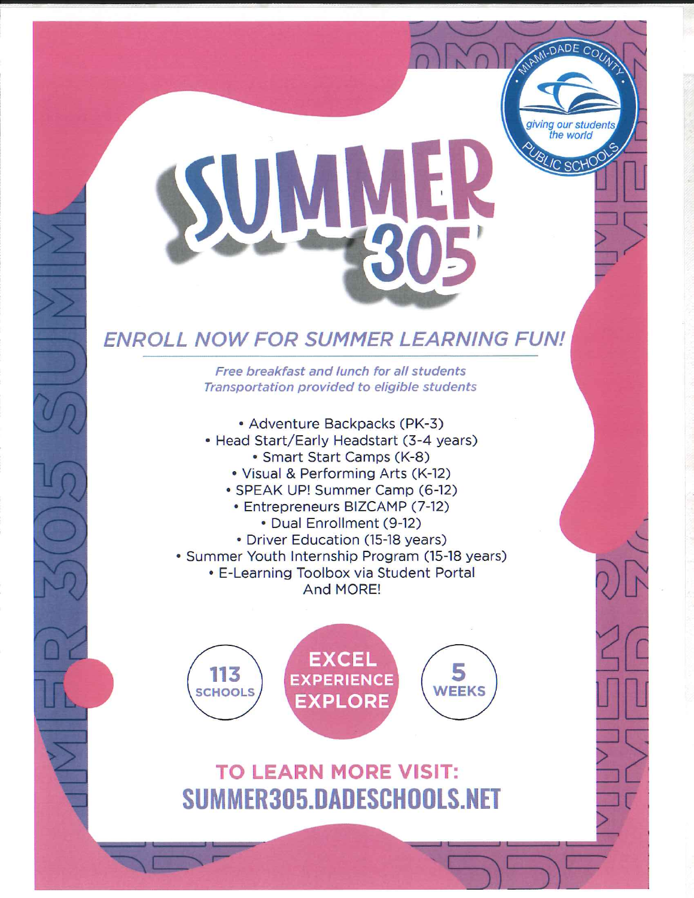# SUN 305

giving our student

**SLIC SCH** 

### **ENROLL NOW FOR SUMMER LEARNING FUN!**

Free breakfast and lunch for all students Transportation provided to eligible students

- Adventure Backpacks (PK-3) • Head Start/Early Headstart (3-4 years) · Smart Start Camps (K-8) . Visual & Performing Arts (K-12) • SPEAK UP! Summer Camp (6-12) • Entrepreneurs BIZCAMP (7-12)
	- Dual Enrollment (9-12)
- Driver Education (15-18 years)
- · Summer Youth Internship Program (15-18 years)
	- E-Learning Toolbox via Student Portal And MORE!



## **TO LEARN MORE VISIT:** SUMMER305.DADESCHOOLS.NET